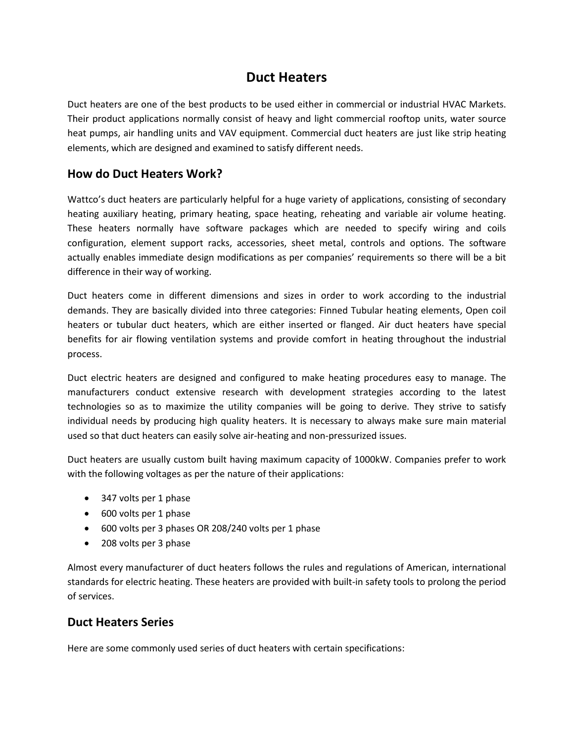## **Duct Heaters**

Duct heaters are one of the best products to be used either in commercial or industrial HVAC Markets. Their product applications normally consist of heavy and light commercial rooftop units, water source heat pumps, air handling units and VAV equipment. Commercial duct heaters are just like strip heating elements, which are designed and examined to satisfy different needs.

## **How do Duct Heaters Work?**

Wattco's duct heaters are particularly helpful for a huge variety of applications, consisting of secondary heating auxiliary heating, primary heating, space heating, reheating and variable air volume heating. These heaters normally have software packages which are needed to specify wiring and coils configuration, element support racks, accessories, sheet metal, controls and options. The software actually enables immediate design modifications as per companies' requirements so there will be a bit difference in their way of working.

Duct heaters come in different dimensions and sizes in order to work according to the industrial demands. They are basically divided into three categories: Finned Tubular heating elements, Open coil heaters or tubular duct heaters, which are either inserted or flanged. Air duct heaters have special benefits for air flowing ventilation systems and provide comfort in heating throughout the industrial process.

Duct electric heaters are designed and configured to make heating procedures easy to manage. The manufacturers conduct extensive research with development strategies according to the latest technologies so as to maximize the utility companies will be going to derive. They strive to satisfy individual needs by producing high quality heaters. It is necessary to always make sure main material used so that duct heaters can easily solve air-heating and non-pressurized issues.

Duct heaters are usually custom built having maximum capacity of 1000kW. Companies prefer to work with the following voltages as per the nature of their applications:

- 347 volts per 1 phase
- 600 volts per 1 phase
- 600 volts per 3 phases OR 208/240 volts per 1 phase
- 208 volts per 3 phase

Almost every manufacturer of duct heaters follows the rules and regulations of American, international standards for electric heating. These heaters are provided with built-in safety tools to prolong the period of services.

## **Duct Heaters Series**

Here are some commonly used series of duct heaters with certain specifications: